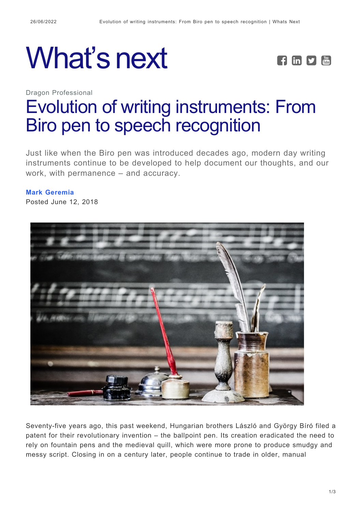





# [Evolution of writing instruments: From](https://whatsnext.nuance.com/dragon-professional/from-biro-pen-to-speech-recognition/) [Biro pen to speech recognition](https://whatsnext.nuance.com/dragon-professional/from-biro-pen-to-speech-recognition/)

Just like when the Biro pen was introduced decades ago, modern day writing instruments continue to be developed to help document our thoughts, and our work, with permanence – and accuracy.

#### **[Mark Geremia](https://whatsnext.nuance.com/author/mark-geremia/)**

Posted June 12, 2018



Seventy-five years ago, this past weekend, Hungarian brothers László and György Bíró filed a patent for their revolutionary invention – the ballpoint pen. Its creation eradicated the need to rely on fountain pens and the medieval quill, which were more prone to produce smudgy and messy script. Closing in on a century later, people continue to trade in older, manual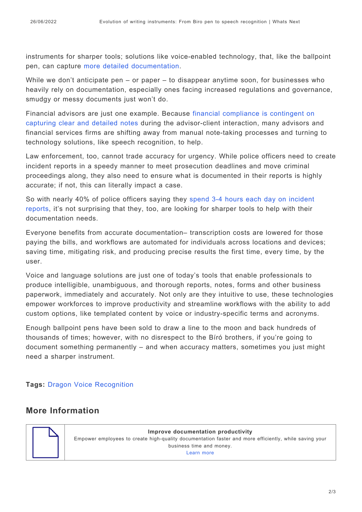instruments for sharper tools; solutions like voice-enabled technology, that, like the ballpoint pen, can capture [more detailed documentation](https://whatsnext.nuance.com/office-productivity/the-importance-of-accurate-documentation/).

While we don't anticipate pen – or paper – to disappear anytime soon, for businesses who heavily rely on documentation, especially ones facing increased regulations and governance, smudgy or messy documents just won't do.

Financial advisors are just one example. Because [financial compliance is contingent on](https://www.nuance.com/dragon/campaign/financial-services-documentation.html) [capturing clear and detailed notes](https://www.nuance.com/dragon/campaign/financial-services-documentation.html) during the advisor-client interaction, many advisors and financial services firms are shifting away from manual note-taking processes and turning to technology solutions, like speech recognition, to help.

Law enforcement, too, cannot trade accuracy for urgency. While police officers need to create incident reports in a speedy manner to meet prosecution deadlines and move criminal proceedings along, they also need to ensure what is documented in their reports is highly accurate; if not, this can literally impact a case.

So with nearly 40% of police officers saying they [spend 3-4 hours each day on incident](https://whatsnext.nuance.com/office-productivity/mark-geremia-paperwork-in-police-work-survey/) [reports](https://whatsnext.nuance.com/office-productivity/mark-geremia-paperwork-in-police-work-survey/), it's not surprising that they, too, are looking for sharper tools to help with their documentation needs.

Everyone benefits from accurate documentation– transcription costs are lowered for those paying the bills, and workflows are automated for individuals across locations and devices; saving time, mitigating risk, and producing precise results the first time, every time, by the user.

Voice and language solutions are just one of today's tools that enable professionals to produce intelligible, unambiguous, and thorough reports, notes, forms and other business paperwork, immediately and accurately. Not only are they intuitive to use, these technologies empower workforces to improve productivity and streamline workflows with the ability to add custom options, like templated content by voice or industry-specific terms and acronyms.

Enough ballpoint pens have been sold to draw a line to the moon and back hundreds of thousands of times; however, with no disrespect to the Bíró brothers, if you're going to document something permanently – and when accuracy matters, sometimes you just might need a sharper instrument.

#### **Tags:** [Dragon Voice Recognition](https://whatsnext.nuance.com/tag/dragon-voice-recognition/)

## **More Information**



**Improve documentation productivity** Empower employees to create high-quality documentation faster and more efficiently, while saving your business time and money. [Learn more](https://www.nuance.com/dragon/business-solutions/dragon-professional-group.html?utm_source=whatsnext&utm_medium=blog)